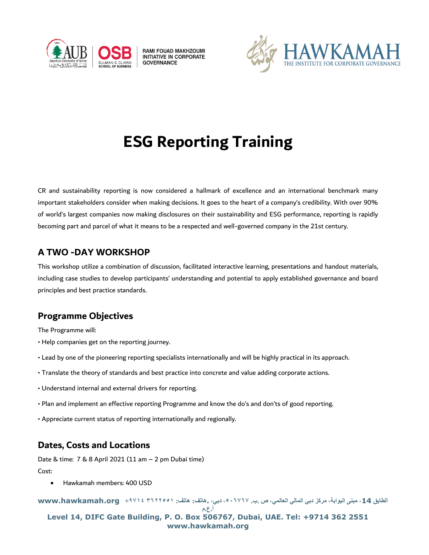

RAMI FOUAD MAKHZOUMI **INITIATIVE IN CORPORATE GOVERNANCE** 



# **ESG Reporting Training**

CR and sustainability reporting is now considered a hallmark of excellence and an international benchmark many important stakeholders consider when making decisions. It goes to the heart of a company's credibility. With over 90% of world's largest companies now making disclosures on their sustainability and ESG performance, reporting is rapidly becoming part and parcel of what it means to be a respected and well-governed company in the 21st century.

## **A TWO -DAY WORKSHOP**

This workshop utilize a combination of discussion, facilitated interactive learning, presentations and handout materials, including case studies to develop participants' understanding and potential to apply established governance and board principles and best practice standards.

## **Programme Objectives**

The Programme will:

- Help companies get on the reporting journey.
- Lead by one of the pioneering reporting specialists internationally and will be highly practical in its approach.
- Translate the theory of standards and best practice into concrete and value adding corporate actions.
- Understand internal and external drivers for reporting.
- Plan and implement an effective reporting Programme and know the do's and don'ts of good reporting.
- Appreciate current status of reporting internationally and regionally.

## **Dates, Costs and Locations**

Date & time: 7 & 8 April 2021 (11 am – 2 pm Dubai time)

Cost:

• Hawkamah members: 400 USD

**الطابق ،14 مبنى البوابة، مركز دبي المالي العالمي، ص .ب. ،٥٠٦٧٦٧ دبي، .هاتف: هاتف: ٣٦٢٢٥٥١ +٩٧١٤ org.hawkamah.www**

**أ.ع.م**

**Level 14, DIFC Gate Building, P. O. Box 506767, Dubai, UAE. Tel: +9714 362 2551 www.hawkamah.org**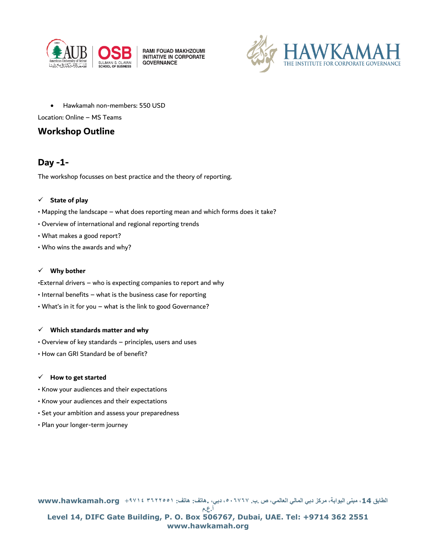

**RAMI FOUAD MAKHZOUMI**<br>INITIATIVE IN CORPORATE **GOVERNANCE** 



• Hawkamah non-members: 550 USD

Location: Online – MS Teams

## **Workshop Outline**

## **Day -1-**

The workshop focusses on best practice and the theory of reporting.

#### ✓ **State of play**

- Mapping the landscape what does reporting mean and which forms does it take?
- Overview of international and regional reporting trends
- What makes a good report?
- Who wins the awards and why?

#### ✓ **Why bother**

- •External drivers who is expecting companies to report and why
- Internal benefits what is the business case for reporting
- What's in it for you what is the link to good Governance?

#### ✓ **Which standards matter and why**

- Overview of key standards principles, users and uses
- How can GRI Standard be of benefit?

#### ✓ **How to get started**

- Know your audiences and their expectations
- Know your audiences and their expectations
- Set your ambition and assess your preparedness
- Plan your longer-term journey

**الطابق ،14 مبنى البوابة، مركز دبي المالي العالمي، ص .ب. ،٥٠٦٧٦٧ دبي، .هاتف: هاتف: ٣٦٢٢٥٥١ +٩٧١٤ org.hawkamah.www أ.ع.م Level 14, DIFC Gate Building, P. O. Box 506767, Dubai, UAE. Tel: +9714 362 2551 www.hawkamah.org**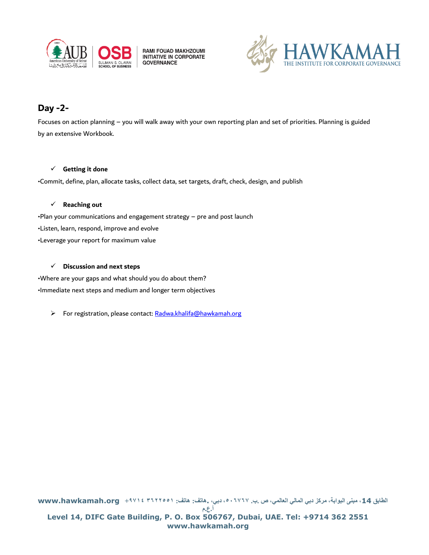

RAMI FOUAD MAKHZOUMI<br>INITIATIVE IN CORPORATE **GOVERNANCE** 



## **Day -2-**

Focuses on action planning – you will walk away with your own reporting plan and set of priorities. Planning is guided by an extensive Workbook.

#### ✓ **Getting it done**

•Commit, define, plan, allocate tasks, collect data, set targets, draft, check, design, and publish

#### ✓ **Reaching out**

•Plan your communications and engagement strategy – pre and post launch

- •Listen, learn, respond, improve and evolve
- •Leverage your report for maximum value

#### ✓ **Discussion and next steps**

•Where are your gaps and what should you do about them? •Immediate next steps and medium and longer term objectives

➢ For registration, please contact: [Radwa.khalifa@hawkamah.org](mailto:Radwa.khalifa@hawkamah.org)